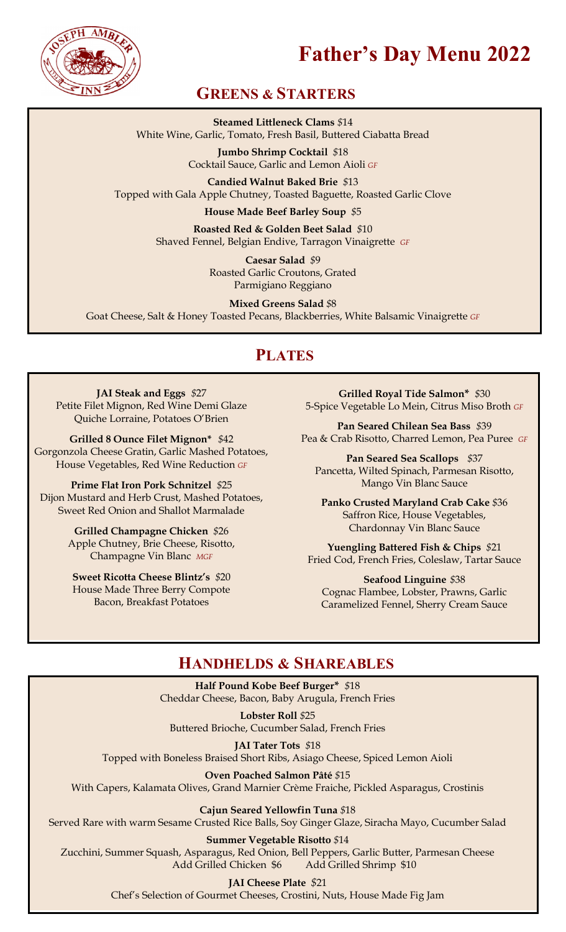

# **Father's Day Menu 2022**

### **GREENS & STARTERS**

**Steamed Littleneck Clams** *\$*14 White Wine, Garlic, Tomato, Fresh Basil, Buttered Ciabatta Bread

> **Jumbo Shrimp Cocktail** *\$*18 Cocktail Sauce, Garlic and Lemon Aioli *GF*

**Candied Walnut Baked Brie** *\$*13 Topped with Gala Apple Chutney, Toasted Baguette, Roasted Garlic Clove

**House Made Beef Barley Soup** *\$*5

**Roasted Red & Golden Beet Salad** *\$*10 Shaved Fennel, Belgian Endive, Tarragon Vinaigrette *GF*

> **Caesar Salad** *\$*9 Roasted Garlic Croutons, Grated Parmigiano Reggiano

**Mixed Greens Salad** *\$*8 Goat Cheese, Salt & Honey Toasted Pecans, Blackberries, White Balsamic Vinaigrette *GF* 

### **PLATES**

**JAI Steak and Eggs** *\$*27 Petite Filet Mignon, Red Wine Demi Glaze Quiche Lorraine, Potatoes O'Brien

**Grilled 8 Ounce Filet Mignon\*** *\$*42 Gorgonzola Cheese Gratin, Garlic Mashed Potatoes, House Vegetables, Red Wine Reduction *GF* 

**Prime Flat Iron Pork Schnitzel** *\$*25 Dijon Mustard and Herb Crust, Mashed Potatoes, Sweet Red Onion and Shallot Marmalade

> **Grilled Champagne Chicken** *\$*26 Apple Chutney, Brie Cheese, Risotto, Champagne Vin Blanc *MGF*

**Sweet Ricotta Cheese Blintz's** *\$*20 House Made Three Berry Compote Bacon, Breakfast Potatoes

**Grilled Royal Tide Salmon\*** *\$*30 5-Spice Vegetable Lo Mein, Citrus Miso Broth *GF* 

**Pan Seared Chilean Sea Bass** *\$*39 Pea & Crab Risotto, Charred Lemon, Pea Puree *GF* 

**Pan Seared Sea Scallops** *\$*37 Pancetta, Wilted Spinach, Parmesan Risotto, Mango Vin Blanc Sauce

**Panko Crusted Maryland Crab Cake** *\$*36 Saffron Rice, House Vegetables, Chardonnay Vin Blanc Sauce

**Yuengling Battered Fish & Chips** *\$*21 Fried Cod, French Fries, Coleslaw, Tartar Sauce

**Seafood Linguine** *\$*38 Cognac Flambee, Lobster, Prawns, Garlic Caramelized Fennel, Sherry Cream Sauce

### **HANDHELDS & SHAREABLES**

**Half Pound Kobe Beef Burger\*** *\$*18 Cheddar Cheese, Bacon, Baby Arugula, French Fries

**Lobster Roll** *\$*25 Buttered Brioche, Cucumber Salad, French Fries

**JAI Tater Tots** *\$*18 Topped with Boneless Braised Short Ribs, Asiago Cheese, Spiced Lemon Aioli

**Oven Poached Salmon Pâté** *\$*15

With Capers, Kalamata Olives, Grand Marnier Crème Fraiche, Pickled Asparagus, Crostinis

**Cajun Seared Yellowfin Tuna** *\$*18

Served Rare with warm Sesame Crusted Rice Balls, Soy Ginger Glaze, Siracha Mayo, Cucumber Salad

#### **Summer Vegetable Risotto** *\$*14

Zucchini, Summer Squash, Asparagus, Red Onion, Bell Peppers, Garlic Butter, Parmesan Cheese Add Grilled Shrimp \$10

**JAI Cheese Plate** *\$*21

Chef's Selection of Gourmet Cheeses, Crostini, Nuts, House Made Fig Jam